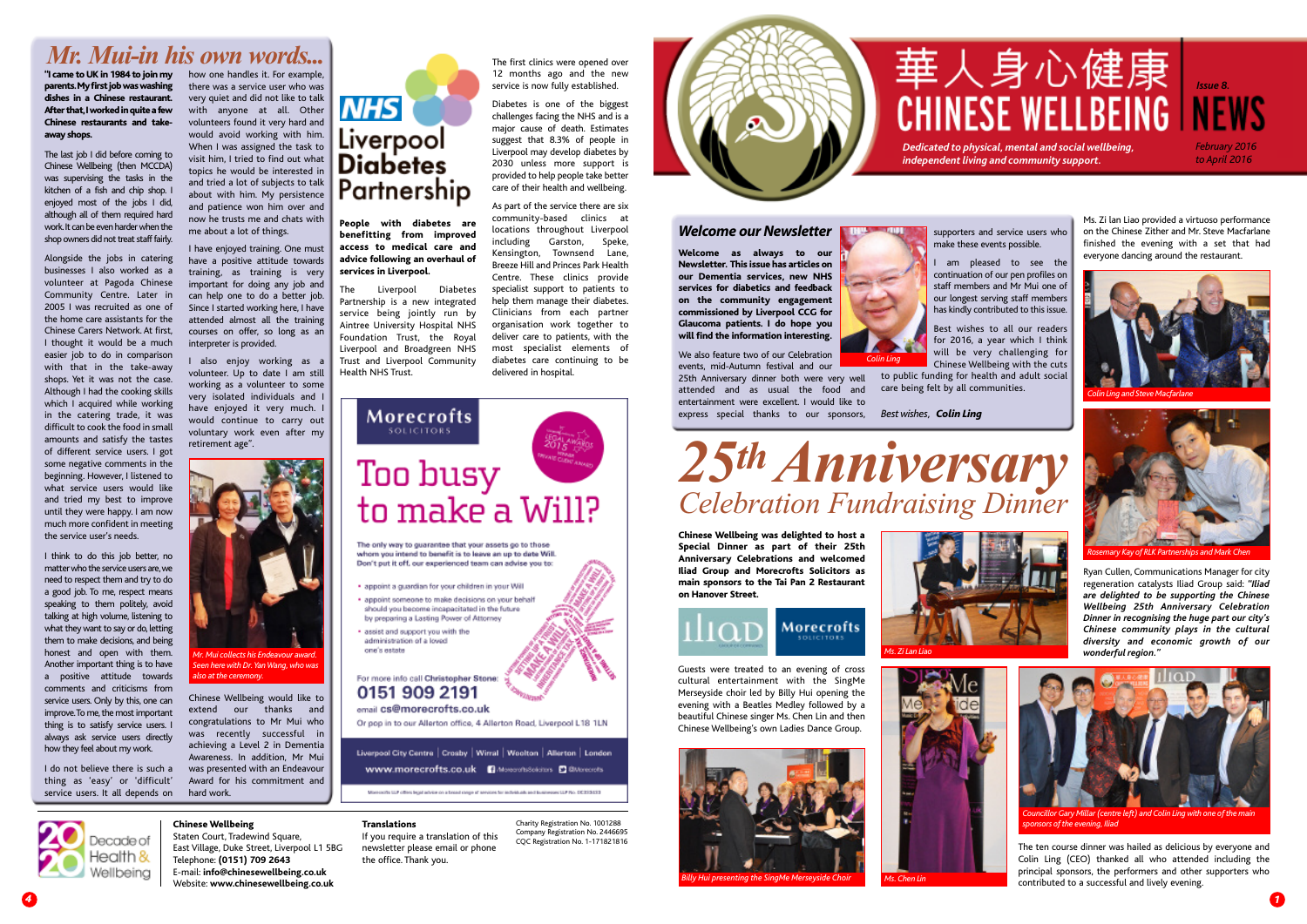**Chinese Wellbeing** Staten Court, Tradewind Square, East Village, Duke Street, Liverpool L1 5BG Telephone: **(0151) 709 2643** E-mail: **info@chinesewellbeing.co.uk** Website: **www.chinesewellbeing.co.uk**



#### **Translations**

If you require a translation of this newsletter please email or phone the office. Thank you.

parents. My first job was washing **dishes in a Chinese restaurant. After that, I worked in quite a few Chinese restaurants and takeaway shops.**

The last job I did before coming to Chinese Wellbeing (then MCCDA) was supervising the tasks in the kitchen of a fish and chip shop. I enjoyed most of the jobs I did, although all of them required hard work. It can be even harder when the shop owners did not treat staff fairly.

> Charity Registration No. 1001288 Company Registration No. 2446695 CQC Registration No. 1-171821816



### **Welcome our Newsletter**

## *Mr. Mui-in his own words...*

Alongside the jobs in catering businesses I also worked as a volunteer at Pagoda Chinese Community Centre. Later in 2005 I was recruited as one of the home care assistants for the Chinese Carers Network. At first, I thought it would be a much easier job to do in comparison with that in the take-away shops. Yet it was not the case. Although I had the cooking skills which I acquired while working in the catering trade, it was difficult to cook the food in small amounts and satisfy the tastes of different service users. I got some negative comments in the beginning. However, I listened to what service users would like and tried my best to improve until they were happy. I am now much more confident in meeting the service user's needs.

I am pleased to see the continuation of our pen profiles on staff members and Mr Mui one of our longest serving staff members has kindly contributed to this issue.

I think to do this job better, no matter who the service users are, we need to respect them and try to do a good job. To me, respect means speaking to them politely, avoid talking at high volume, listening to what they want to say or do, letting them to make decisions, and being honest and open with them. Another important thing is to have a positive attitude towards comments and criticisms from service users. Only by this, one can improve. To me, the most important thing is to satisfy service users. I always ask service users directly how they feel about my work.

I do not believe there is such a thing as 'easy' or 'difficult' service users. It all depends on



**People with diabetes are benefitting from improved access to medical care and advice following an overhaul of services in Liverpool.**

The Liverpool Diabetes Partnership is a new integrated service being jointly run by Aintree University Hospital NHS Foundation Trust, the Royal Liverpool and Broadgreen NHS Trust and Liverpool Community Health NHS Trust.





**Chinese Wellbeing was delighted to host a Special Dinner as part of their 25th Anniversary Celebrations and welcomed Iliad Group and Morecrofts Solicitors as main sponsors to the Tai Pan 2 Restaurant on Hanover Street.**



**Morecrofts** 

**"I came toUK in 1984 to join my** how one handles it. For example, there was a service user who was very quiet and did not like to talk with anyone at all. Other volunteers found it very hard and would avoid working with him. When I was assigned the task to visit him, I tried to find out what topics he would be interested in and tried a lot of subjects to talk about with him. My persistence and patience won him over and now he trusts me and chats with me about a lot of things.

> **Welcome as always to our Newsletter. This issue has articles on our Dementia services, new NHS services for diabetics and feedback on the community engagement commissioned by Liverpool CCG for Glaucoma patients. I do hope you will find the information interesting.**

supporters and service users who make these events possible.

We also feature two of our Celebration events, mid-Autumn festival and our 25th Anniversary dinner both were very well attended and as usual the food and entertainment were excellent. I would like to express special thanks to our sponsors, *Bestwishes, Colin Ling*

Best wishes to all our readers for 2016, a year which I think will be very challenging for Chinese Wellbeing with the cuts to public funding for health and adult social care being felt by all communities.

*Billy Hui presenting the SingMe Merseyside Choir*



*Colin Ling*

Guests were treated to an evening of cross cultural entertainment with the SingMe Merseyside choir led by Billy Hui opening the evening with a Beatles Medley followed by a



beautiful Chinese singer Ms. Chen Lin and then Chinese Wellbeing's own Ladies Dance Group.

Ms. Zi lan Liao provided a virtuoso performance on the Chinese Zither and Mr. Steve Macfarlane finished the evening with a set that had everyone dancing around the restaurant.

Ryan Cullen, Communications Manager for city regeneration catalysts Iliad Group said: *"Iliad are delighted to be supporting the Chinese Wellbeing 25th Anniversary Celebration Dinner in recognising the huge part our city's Chinese community plays in the cultural diversity and economic growth of our Ms. ZiLan Liao wonderful region."*



*Rosemary Kay of RLK Partnerships and Mark Chen*



*sponsors ofthe evening,Iliad*

The ten course dinner was hailed as delicious by everyone and Colin Ling (CEO) thanked all who attended including the principal sponsors, the performers and other supporters who contributed to a successful and lively evening.

I have enjoyed training. One must have a positive attitude towards training, as training is very important for doing any job and can help one to do a better job. Since I started working here, I have attended almost all the training courses on offer, so long as an interpreter is provided.

I also enjoy working as a volunteer. Up to date I am still working as a volunteer to some very isolated individuals and I have enjoyed it very much. I would continue to carry out voluntary work even after my retirement age".

Chinese Wellbeing would like to extend our thanks and congratulations to Mr Mui who was recently successful in achieving a Level 2 in Dementia Awareness. In addition, Mr Mui was presented with an Endeavour Award for his commitment and hard work.



*Seen herewith Dr.YanWang,whowas also atthe ceremony.*

The first clinics were opened over 12 months ago and the new service is now fully established.

Diabetes is one of the biggest challenges facing the NHS and is a major cause of death. Estimates suggest that 8.3% of people in Liverpool may develop diabetes by 2030 unless more support is provided to help people take better care of their health and wellbeing.

As part of the service there are six community-based clinics at locations throughout Liverpool including Garston, Speke, Kensington, Townsend Lane, Breeze Hill and Princes Park Health Centre. These clinics provide specialist support to patients to help them manage their diabetes. Clinicians from each partner organisation work together to deliver care to patients, with the most specialist elements of diabetes care continuing to be delivered in hospital.



The only way to guarantee that your assets go to those whom you intend to benefit is to leave an up to date Will. Don't put it off, our experienced team can advise you to:

- . appoint a quardian for your children in your Will
- · appoint someone to make decisions on your behalf should you become incapacitated in the future by preparing a Lasting Power of Attorney
- · assist and support you with the administration of a loved

one's estate

### For more info call Christopher Stone: 0151 909 2191

email cs@morecrofts.co.uk

Or pop in to our Allerton office, 4 Allerton Road, Liverpool L18 1LN

Liverpool City Centre | Crosby | Wirral | Woolton | Allerton | London **WWW.morecrofts.co.uk GMoreconscious C BMorecots** 

Morecachi U.P offers legal advice on a broad cargo of services for individuals and businesses U.P No. DC333433